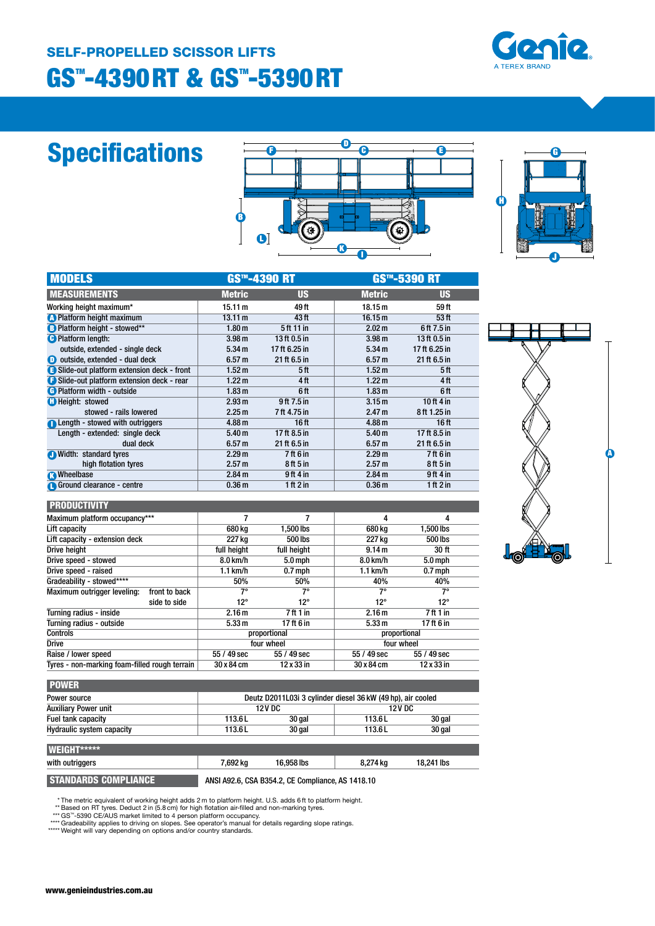### **GS™-4390RT & GS™-5390RT** SELF-PROPELLED SCISSOR LIFTS



# Specifications

|   |              | m |                                                                                                                                                                                                                                           |  |
|---|--------------|---|-------------------------------------------------------------------------------------------------------------------------------------------------------------------------------------------------------------------------------------------|--|
|   |              |   |                                                                                                                                                                                                                                           |  |
| B | $\mathbf{O}$ |   | <b>The Contract of the Contract of the Contract of the Contract of the Contract of the Contract of the Contract of The Contract of The Contract of The Contract of The Contract of The Contract of The Contract of The Contract </b><br>۰ |  |



| <b>MODELS</b>                             | <b>GS™-4390 RT</b> |                  | <b>GS™-5390 RT</b> |                  |  |
|-------------------------------------------|--------------------|------------------|--------------------|------------------|--|
| <b>MEASUREMENTS</b>                       | <b>Metric</b>      | <b>US</b>        | <b>Metric</b>      | <b>US</b>        |  |
| Working height maximum*                   | 15.11 m            | 49 ft            | 18.15 <sub>m</sub> | 59 ft            |  |
| <b>A</b> Platform height maximum          | 13.11 m            | 43 ft            | 16.15 m            | 53 ft            |  |
| <b>B</b> Platform height - stowed**       | 1.80 <sub>m</sub>  | 5 ft 11 in       | 2.02 m             | 6ft 7.5 in       |  |
| <b>C</b> Platform length:                 | 3.98 <sub>m</sub>  | 13 ft 0.5 in     | 3.98 <sub>m</sub>  | 13 ft 0.5 in     |  |
| outside, extended - single deck           | 5.34 m             | 17 ft 6.25 in    | 5.34 m             | 17 ft 6.25 in    |  |
| <b>O</b> outside, extended - dual deck    | 6.57 m             | 21 ft 6.5 in     | 6.57 <sub>m</sub>  | 21 ft 6.5 in     |  |
| Slide-out platform extension deck - front | 1.52 <sub>m</sub>  | 5 <sup>ft</sup>  | 1.52 m             | 5ft              |  |
| Slide-out platform extension deck - rear  | 1.22 <sub>m</sub>  | 4 ft             | $1.22 \text{ m}$   | 4ft              |  |
| <b>C</b> Platform width - outside         | 1.83 <sub>m</sub>  | 6 ft             | 1.83 <sub>m</sub>  | 6 ft             |  |
| <b>C</b> Height: stowed                   | 2.93 m             | 9 ft 7.5 in      | 3.15 <sub>m</sub>  | 10 ft 4 in       |  |
| stowed - rails lowered                    | 2.25 <sub>m</sub>  | 7 ft 4.75 in     | 2.47 <sub>m</sub>  | 8 ft 1.25 in     |  |
| <b>A</b> Length - stowed with outriggers  | 4.88 <sub>m</sub>  | 16 <sub>ft</sub> | 4.88 <sub>m</sub>  | 16 <sub>ft</sub> |  |
| Length - extended: single deck            | 5.40 <sub>m</sub>  | 17 ft 8.5 in     | 5.40 <sub>m</sub>  | 17 ft $8.5$ in   |  |
| dual deck                                 | 6.57 <sub>m</sub>  | $21$ ft 6.5 in   | 6.57 <sub>m</sub>  | 21 ft 6.5 in     |  |
| <b>Midth:</b><br>standard tyres           | 2.29 m             | 7 ft 6 in        | 2.29 <sub>m</sub>  | 7 ft 6 in        |  |
| high flotation tyres                      | 2.57 m             | 8ft 5 in         | 2.57 m             | 8 ft 5 in        |  |
| <b>R</b> Wheelbase                        | 2.84 m             | 9ft4in           | 2.84 <sub>m</sub>  | 9ft 4in          |  |
| Ground clearance - centre                 | 0.36 <sub>m</sub>  | 1 ft 2 in        | 0.36 <sub>m</sub>  | 1 ft $2$ in      |  |

#### **PRODUCTIVITY**

| Maximum platform occupancy***                 |                   |                   | 4                 | 4                 |  |
|-----------------------------------------------|-------------------|-------------------|-------------------|-------------------|--|
| Lift capacity                                 | 680 kg            | 1.500 lbs         | 680 ka            | 1.500 lbs         |  |
| Lift capacity - extension deck                | 227 kg            | 500 lbs           | 227 kg            | 500 lbs           |  |
| Drive height                                  | full height       | full height       | 9.14 m            | 30 ft             |  |
| Drive speed - stowed                          | 8.0 km/h          | $5.0$ mph         | 8.0 km/h          | 5.0 mph           |  |
| Drive speed - raised                          | $1.1$ km/h        | $0.7$ mph         | $1.1$ km/h        | $0.7$ mph         |  |
| Gradeability - stowed****                     | 50%               | 50%               | 40%               | 40%               |  |
| Maximum outrigger leveling:<br>front to back  | 7°                | 7°                | 7°                | 7°                |  |
| side to side                                  | $12^{\circ}$      | 12°               | $12^{\circ}$      | 12°               |  |
| Turning radius - inside                       | 2.16 <sub>m</sub> | 7 ft 1 in         | 2.16 <sub>m</sub> | 7ft1in            |  |
| Turning radius - outside                      | 5.33 m            | 17 ft 6 in        | 5.33 m            | 17ft 6 in         |  |
| <b>Controls</b>                               |                   | proportional      | proportional      |                   |  |
| <b>Drive</b>                                  |                   | four wheel        | four wheel        |                   |  |
| Raise / lower speed                           | 55 / 49 sec       | 55 / 49 sec       | $55/49$ sec       | 55 / 49 sec       |  |
| Tyres - non-marking foam-filled rough terrain | 30 x 84 cm        | $12 \times 33$ in | 30 x 84 cm        | $12 \times 33$ in |  |
|                                               |                   |                   |                   |                   |  |

| þ     |        |   |
|-------|--------|---|
|       |        |   |
|       |        |   |
|       |        | Ō |
|       |        |   |
| dr(c) | О<br>ę |   |

| Power source                |        | Deutz D2011L03i 3 cylinder diesel 36 kW (49 hp), air cooled |         |               |  |
|-----------------------------|--------|-------------------------------------------------------------|---------|---------------|--|
| <b>Auxiliary Power unit</b> |        | <b>12VDC</b>                                                |         | <b>12V DC</b> |  |
| <b>Fuel tank capacity</b>   | 113.61 | 30 gal                                                      | 113.6 L | 30 gal        |  |
| Hydraulic system capacity   | 113.6L | 30 gal                                                      | 113.6L  | 30 gal        |  |

| WEIGHT*****                 |          |                                                   |          |            |
|-----------------------------|----------|---------------------------------------------------|----------|------------|
| with outriggers             | 7.692 ka | 16.958 lbs                                        | 8.274 ka | 18.241 lbs |
| <b>STANDARDS COMPLIANCE</b> |          | ANSI A92.6, CSA B354.2, CE Compliance, AS 1418.10 |          |            |

\* The metric equivalent of working height adds 2 m to platform height. U.S. adds 6 ft to platform height.<br>\*\* Based on RT tyres. Deduct 2 in (5.8 cm) for high flotation air-filled and non-marking tyres.<br>\*\*\* GS<sup>31</sup>-5390 CE/A